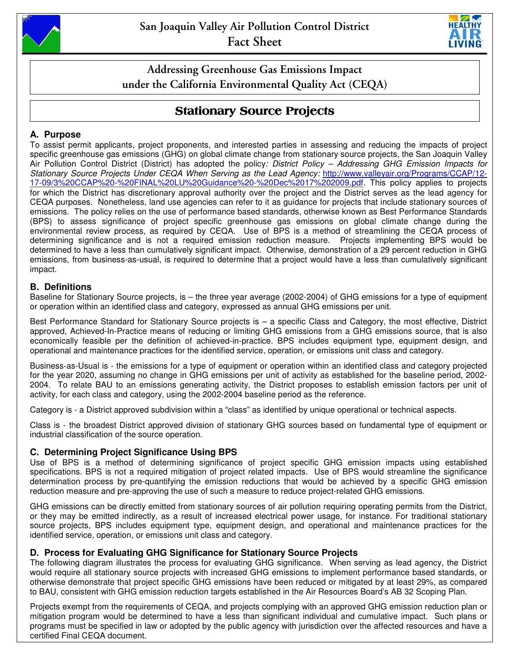



**Addressing Greenhouse Gas Emissions Impact under the California Environmental Quality Act (CEQA)** 

# **Stationary Source Projects**

## **A. Purpose**

To assist permit applicants, project proponents, and interested parties in assessing and reducing the impacts of project specific greenhouse gas emissions (GHG) on global climate change from stationary source projects, the San Joaquin Valley Air Pollution Control District (District) has adopted the policy: District Policy - Addressing GHG Emission Impacts for Stationary Source Projects Under CEQA When Serving as the Lead Agency: http://www.valleyair.org/Programs/CCAP/12- 17-09/3%20CCAP%20-%20FINAL%20LU%20Guidance%20-%20Dec%2017%202009.pdf. This policy applies to projects for which the District has discretionary approval authority over the project and the District serves as the lead agency for CEQA purposes. Nonetheless, land use agencies can refer to it as guidance for projects that include stationary sources of emissions. The policy relies on the use of performance based standards, otherwise known as Best Performance Standards (BPS) to assess significance of project specific greenhouse gas emissions on global climate change during the environmental review process, as required by CEQA. Use of BPS is a method of streamlining the CEQA process of determining significance and is not a required emission reduction measure. Projects implementing BPS would be determined to have a less than cumulatively significant impact. Otherwise, demonstration of a 29 percent reduction in GHG emissions, from business-as-usual, is required to determine that a project would have a less than cumulatively significant impact.

## **B. Definitions**

Baseline for Stationary Source projects, is – the three year average (2002-2004) of GHG emissions for a type of equipment or operation within an identified class and category, expressed as annual GHG emissions per unit.

Best Performance Standard for Stationary Source projects is – a specific Class and Category, the most effective, District approved, Achieved-In-Practice means of reducing or limiting GHG emissions from a GHG emissions source, that is also economically feasible per the definition of achieved-in-practice. BPS includes equipment type, equipment design, and operational and maintenance practices for the identified service, operation, or emissions unit class and category.

Business-as-Usual is - the emissions for a type of equipment or operation within an identified class and category projected for the year 2020, assuming no change in GHG emissions per unit of activity as established for the baseline period, 2002- 2004. To relate BAU to an emissions generating activity, the District proposes to establish emission factors per unit of activity, for each class and category, using the 2002-2004 baseline period as the reference.

Category is - a District approved subdivision within a "class" as identified by unique operational or technical aspects.

Class is - the broadest District approved division of stationary GHG sources based on fundamental type of equipment or industrial classification of the source operation.

## **C. Determining Project Significance Using BPS**

Use of BPS is a method of determining significance of project specific GHG emission impacts using established specifications. BPS is not a required mitigation of project related impacts. Use of BPS would streamline the significance determination process by pre-quantifying the emission reductions that would be achieved by a specific GHG emission reduction measure and pre-approving the use of such a measure to reduce project-related GHG emissions.

GHG emissions can be directly emitted from stationary sources of air pollution requiring operating permits from the District, or they may be emitted indirectly, as a result of increased electrical power usage, for instance. For traditional stationary source projects, BPS includes equipment type, equipment design, and operational and maintenance practices for the identified service, operation, or emissions unit class and category.

## **D. Process for Evaluating GHG Significance for Stationary Source Projects**

The following diagram illustrates the process for evaluating GHG significance. When serving as lead agency, the District would require all stationary source projects with increased GHG emissions to implement performance based standards, or otherwise demonstrate that project specific GHG emissions have been reduced or mitigated by at least 29%, as compared to BAU, consistent with GHG emission reduction targets established in the Air Resources Board's AB 32 Scoping Plan.

Projects exempt from the requirements of CEQA, and projects complying with an approved GHG emission reduction plan or mitigation program would be determined to have a less than significant individual and cumulative impact. Such plans or programs must be specified in law or adopted by the public agency with jurisdiction over the affected resources and have a certified Final CEQA document.